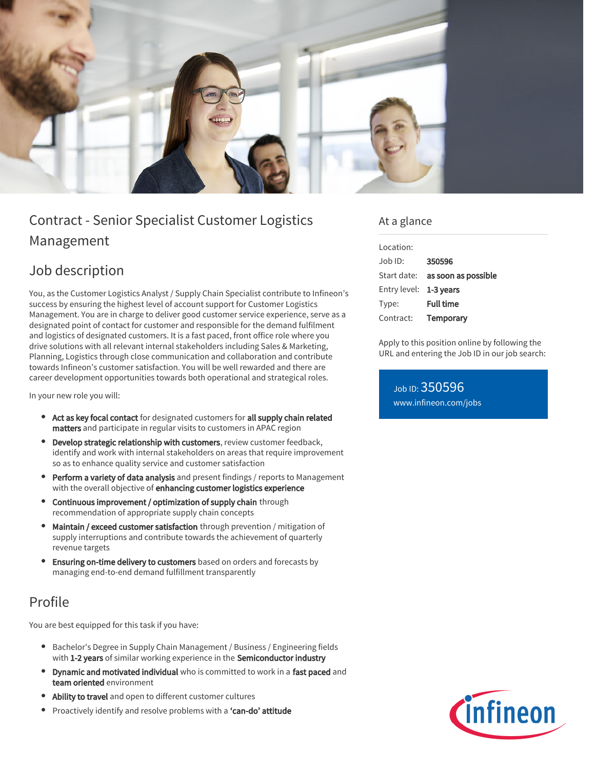

# Contract - Senior Specialist Customer Logistics Management

## Job description

You, as the Customer Logistics Analyst / Supply Chain Specialist contribute to Infineon's success by ensuring the highest level of account support for Customer Logistics Management. You are in charge to deliver good customer service experience, serve as a designated point of contact for customer and responsible for the demand fulfilment and logistics of designated customers. It is a fast paced, front office role where you drive solutions with all relevant internal stakeholders including Sales & Marketing, Planning, Logistics through close communication and collaboration and contribute towards Infineon's customer satisfaction. You will be well rewarded and there are career development opportunities towards both operational and strategical roles.

In your new role you will:

- Act as key focal contact for designated customers for all supply chain related matters and participate in regular visits to customers in APAC region
- Develop strategic relationship with customers, review customer feedback, identify and work with internal stakeholders on areas that require improvement so as to enhance quality service and customer satisfaction
- Perform a variety of data analysis and present findings / reports to Management with the overall objective of enhancing customer logistics experience
- Continuous improvement / optimization of supply chain through recommendation of appropriate supply chain concepts
- Maintain / exceed customer satisfaction through prevention / mitigation of supply interruptions and contribute towards the achievement of quarterly revenue targets
- Ensuring on-time delivery to customers based on orders and forecasts by managing end-to-end demand fulfillment transparently

## Profile

You are best equipped for this task if you have:

- Bachelor's Degree in Supply Chain Management / Business / Engineering fields with 1-2 years of similar working experience in the Semiconductor industry
- **Dynamic and motivated individual** who is committed to work in a fast paced and team oriented environment
- Ability to travel and open to different customer cultures
- Proactively identify and resolve problems with a 'can-do' attitude

#### At a glance

| Location:              |                                 |
|------------------------|---------------------------------|
| $Joh$ ID:              | 350596                          |
|                        | Start date: as soon as possible |
| Entry level: 1-3 years |                                 |
| Type:                  | <b>Full time</b>                |
| Contract:              | Temporary                       |

Apply to this position online by following the URL and entering the Job ID in our job search:

Job ID: 350596 [www.infineon.com/jobs](https://www.infineon.com/jobs)